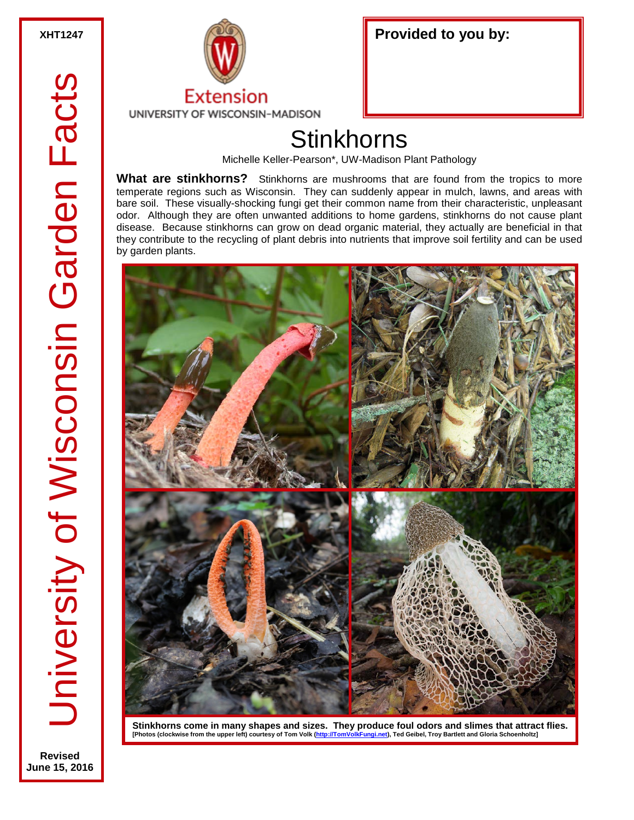**Revised June 15, 2016**



| Provided to you by: |  |
|---------------------|--|
|                     |  |

## **Stinkhorns**

Michelle Keller-Pearson\*, UW-Madison Plant Pathology

**What are stinkhorns?** Stinkhorns are mushrooms that are found from the tropics to more temperate regions such as Wisconsin. They can suddenly appear in mulch, lawns, and areas with bare soil. These visually-shocking fungi get their common name from their characteristic, unpleasant odor. Although they are often unwanted additions to home gardens, stinkhorns do not cause plant disease. Because stinkhorns can grow on dead organic material, they actually are beneficial in that they contribute to the recycling of plant debris into nutrients that improve soil fertility and can be used by garden plants.



Stinkhorns come in many shapes and sizes. They produce foul odors and slimes that attract flies.<br>[Photos (clockwise from the upper left) courtesy of Tom Volk (http://<u>TomVolkFungi.net</u>), Ted Geibel, Troy Bartlett and Glori [Photos (clockwise from the upper left) courtesy of Tom Volk (http://TomV